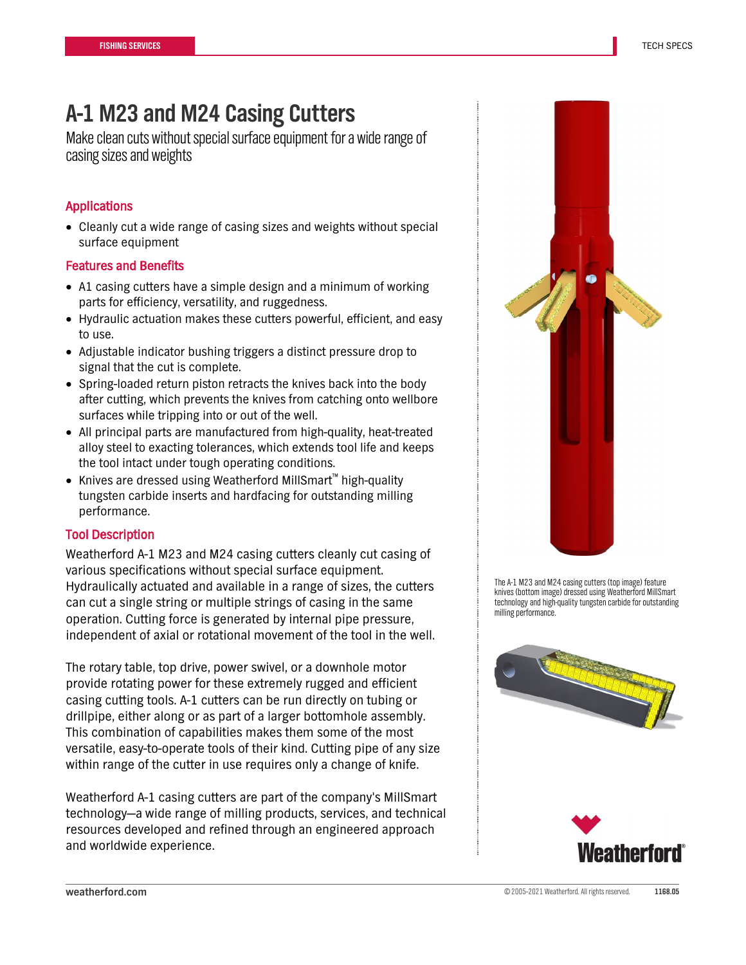# **A-1 M23 and M24 Casing Cutters**

Make clean cuts without special surface equipment for a wide range of casing sizes and weights

## Applications

• Cleanly cut a wide range of casing sizes and weights without special surface equipment

#### Features and Benefits

- A1 casing cutters have a simple design and a minimum of working parts for efficiency, versatility, and ruggedness.
- Hydraulic actuation makes these cutters powerful, efficient, and easy to use.
- Adjustable indicator bushing triggers a distinct pressure drop to signal that the cut is complete.
- Spring-loaded return piston retracts the knives back into the body after cutting, which prevents the knives from catching onto wellbore surfaces while tripping into or out of the well.
- All principal parts are manufactured from high-quality, heat-treated alloy steel to exacting tolerances, which extends tool life and keeps the tool intact under tough operating conditions.
- Knives are dressed using Weatherford MillSmart™ high-quality tungsten carbide inserts and hardfacing for outstanding milling performance.

### Tool Description

Weatherford A-1 M23 and M24 casing cutters cleanly cut casing of various specifications without special surface equipment. Hydraulically actuated and available in a range of sizes, the cutters can cut a single string or multiple strings of casing in the same operation. Cutting force is generated by internal pipe pressure, independent of axial or rotational movement of the tool in the well.

The rotary table, top drive, power swivel, or a downhole motor provide rotating power for these extremely rugged and efficient casing cutting tools. A-1 cutters can be run directly on tubing or drillpipe, either along or as part of a larger bottomhole assembly. This combination of capabilities makes them some of the most versatile, easy-to-operate tools of their kind. Cutting pipe of any size within range of the cutter in use requires only a change of knife.

Weatherford A-1 casing cutters are part of the company's MillSmart technology—a wide range of milling products, services, and technical resources developed and refined through an engineered approach and worldwide experience.



The A-1 M23 and M24 casing cutters (top image) feature knives (bottom image) dressed using Weatherford MillSmart technology and high-quality tungsten carbide for outstanding milling performance.